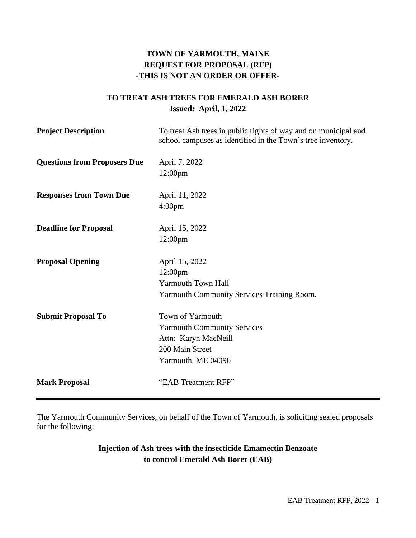# **TOWN OF YARMOUTH, MAINE REQUEST FOR PROPOSAL (RFP) -THIS IS NOT AN ORDER OR OFFER-**

# **TO TREAT ASH TREES FOR EMERALD ASH BORER Issued: April, 1, 2022**

| <b>Project Description</b>          | To treat Ash trees in public rights of way and on municipal and<br>school campuses as identified in the Town's tree inventory. |
|-------------------------------------|--------------------------------------------------------------------------------------------------------------------------------|
| <b>Questions from Proposers Due</b> | April 7, 2022                                                                                                                  |
|                                     | 12:00pm                                                                                                                        |
| <b>Responses from Town Due</b>      | April 11, 2022                                                                                                                 |
|                                     | 4:00 <sub>pm</sub>                                                                                                             |
| <b>Deadline for Proposal</b>        | April 15, 2022                                                                                                                 |
|                                     | 12:00pm                                                                                                                        |
| <b>Proposal Opening</b>             | April 15, 2022                                                                                                                 |
|                                     | 12:00pm                                                                                                                        |
|                                     | <b>Yarmouth Town Hall</b>                                                                                                      |
|                                     | <b>Yarmouth Community Services Training Room.</b>                                                                              |
| <b>Submit Proposal To</b>           | Town of Yarmouth                                                                                                               |
|                                     | <b>Yarmouth Community Services</b>                                                                                             |
|                                     | Attn: Karyn MacNeill                                                                                                           |
|                                     | 200 Main Street                                                                                                                |
|                                     | Yarmouth, ME 04096                                                                                                             |
| <b>Mark Proposal</b>                | "EAB Treatment RFP"                                                                                                            |

The Yarmouth Community Services, on behalf of the Town of Yarmouth, is soliciting sealed proposals for the following:

# **Injection of Ash trees with the insecticide Emamectin Benzoate to control Emerald Ash Borer (EAB)**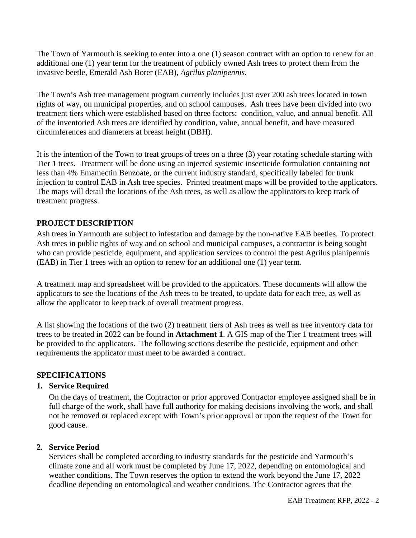The Town of Yarmouth is seeking to enter into a one (1) season contract with an option to renew for an additional one (1) year term for the treatment of publicly owned Ash trees to protect them from the invasive beetle, Emerald Ash Borer (EAB), *Agrilus planipennis.*

The Town's Ash tree management program currently includes just over 200 ash trees located in town rights of way, on municipal properties, and on school campuses. Ash trees have been divided into two treatment tiers which were established based on three factors: condition, value, and annual benefit. All of the inventoried Ash trees are identified by condition, value, annual benefit, and have measured circumferences and diameters at breast height (DBH).

It is the intention of the Town to treat groups of trees on a three (3) year rotating schedule starting with Tier 1 trees. Treatment will be done using an injected systemic insecticide formulation containing not less than 4% Emamectin Benzoate, or the current industry standard, specifically labeled for trunk injection to control EAB in Ash tree species. Printed treatment maps will be provided to the applicators. The maps will detail the locations of the Ash trees, as well as allow the applicators to keep track of treatment progress.

### **PROJECT DESCRIPTION**

Ash trees in Yarmouth are subject to infestation and damage by the non-native EAB beetles. To protect Ash trees in public rights of way and on school and municipal campuses, a contractor is being sought who can provide pesticide, equipment, and application services to control the pest Agrilus planipennis (EAB) in Tier 1 trees with an option to renew for an additional one (1) year term.

A treatment map and spreadsheet will be provided to the applicators. These documents will allow the applicators to see the locations of the Ash trees to be treated, to update data for each tree, as well as allow the applicator to keep track of overall treatment progress.

A list showing the locations of the two (2) treatment tiers of Ash trees as well as tree inventory data for trees to be treated in 2022 can be found in **Attachment 1**. A GIS map of the Tier 1 treatment trees will be provided to the applicators. The following sections describe the pesticide, equipment and other requirements the applicator must meet to be awarded a contract.

#### **SPECIFICATIONS**

#### **1. Service Required**

On the days of treatment, the Contractor or prior approved Contractor employee assigned shall be in full charge of the work, shall have full authority for making decisions involving the work, and shall not be removed or replaced except with Town's prior approval or upon the request of the Town for good cause.

### **2. Service Period**

Services shall be completed according to industry standards for the pesticide and Yarmouth's climate zone and all work must be completed by June 17, 2022, depending on entomological and weather conditions. The Town reserves the option to extend the work beyond the June 17, 2022 deadline depending on entomological and weather conditions. The Contractor agrees that the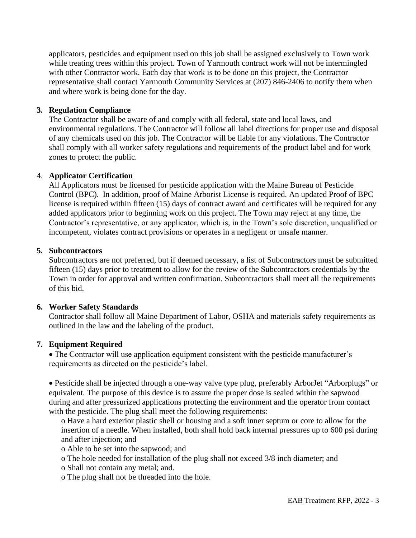applicators, pesticides and equipment used on this job shall be assigned exclusively to Town work while treating trees within this project. Town of Yarmouth contract work will not be intermingled with other Contractor work. Each day that work is to be done on this project, the Contractor representative shall contact Yarmouth Community Services at (207) 846-2406 to notify them when and where work is being done for the day.

#### **3. Regulation Compliance**

The Contractor shall be aware of and comply with all federal, state and local laws, and environmental regulations. The Contractor will follow all label directions for proper use and disposal of any chemicals used on this job. The Contractor will be liable for any violations. The Contractor shall comply with all worker safety regulations and requirements of the product label and for work zones to protect the public.

#### 4. **Applicator Certification**

All Applicators must be licensed for pesticide application with the Maine Bureau of Pesticide Control (BPC). In addition, proof of Maine Arborist License is required. An updated Proof of BPC license is required within fifteen (15) days of contract award and certificates will be required for any added applicators prior to beginning work on this project. The Town may reject at any time, the Contractor's representative, or any applicator, which is, in the Town's sole discretion, unqualified or incompetent, violates contract provisions or operates in a negligent or unsafe manner.

#### **5. Subcontractors**

Subcontractors are not preferred, but if deemed necessary, a list of Subcontractors must be submitted fifteen (15) days prior to treatment to allow for the review of the Subcontractors credentials by the Town in order for approval and written confirmation. Subcontractors shall meet all the requirements of this bid.

#### **6. Worker Safety Standards**

Contractor shall follow all Maine Department of Labor, OSHA and materials safety requirements as outlined in the law and the labeling of the product.

#### **7. Equipment Required**

• The Contractor will use application equipment consistent with the pesticide manufacturer's requirements as directed on the pesticide's label.

• Pesticide shall be injected through a one-way valve type plug, preferably ArborJet "Arborplugs" or equivalent. The purpose of this device is to assure the proper dose is sealed within the sapwood during and after pressurized applications protecting the environment and the operator from contact with the pesticide. The plug shall meet the following requirements:

o Have a hard exterior plastic shell or housing and a soft inner septum or core to allow for the insertion of a needle. When installed, both shall hold back internal pressures up to 600 psi during and after injection; and

o Able to be set into the sapwood; and

o The hole needed for installation of the plug shall not exceed 3/8 inch diameter; and

o Shall not contain any metal; and.

o The plug shall not be threaded into the hole.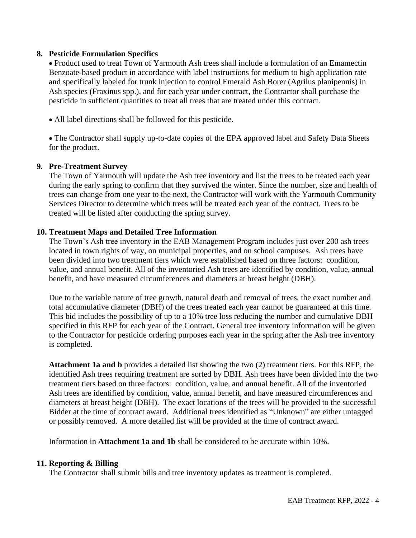#### **8. Pesticide Formulation Specifics**

• Product used to treat Town of Yarmouth Ash trees shall include a formulation of an Emamectin Benzoate-based product in accordance with label instructions for medium to high application rate and specifically labeled for trunk injection to control Emerald Ash Borer (Agrilus planipennis) in Ash species (Fraxinus spp.), and for each year under contract, the Contractor shall purchase the pesticide in sufficient quantities to treat all trees that are treated under this contract.

• All label directions shall be followed for this pesticide.

• The Contractor shall supply up-to-date copies of the EPA approved label and Safety Data Sheets for the product.

#### **9. Pre-Treatment Survey**

The Town of Yarmouth will update the Ash tree inventory and list the trees to be treated each year during the early spring to confirm that they survived the winter. Since the number, size and health of trees can change from one year to the next, the Contractor will work with the Yarmouth Community Services Director to determine which trees will be treated each year of the contract. Trees to be treated will be listed after conducting the spring survey.

#### **10. Treatment Maps and Detailed Tree Information**

The Town's Ash tree inventory in the EAB Management Program includes just over 200 ash trees located in town rights of way, on municipal properties, and on school campuses. Ash trees have been divided into two treatment tiers which were established based on three factors: condition, value, and annual benefit. All of the inventoried Ash trees are identified by condition, value, annual benefit, and have measured circumferences and diameters at breast height (DBH).

Due to the variable nature of tree growth, natural death and removal of trees, the exact number and total accumulative diameter (DBH) of the trees treated each year cannot be guaranteed at this time. This bid includes the possibility of up to a 10% tree loss reducing the number and cumulative DBH specified in this RFP for each year of the Contract. General tree inventory information will be given to the Contractor for pesticide ordering purposes each year in the spring after the Ash tree inventory is completed.

**Attachment 1a and b** provides a detailed list showing the two (2) treatment tiers. For this RFP, the identified Ash trees requiring treatment are sorted by DBH. Ash trees have been divided into the two treatment tiers based on three factors: condition, value, and annual benefit. All of the inventoried Ash trees are identified by condition, value, annual benefit, and have measured circumferences and diameters at breast height (DBH). The exact locations of the trees will be provided to the successful Bidder at the time of contract award. Additional trees identified as "Unknown" are either untagged or possibly removed. A more detailed list will be provided at the time of contract award.

Information in **Attachment 1a and 1b** shall be considered to be accurate within 10%.

#### **11. Reporting & Billing**

The Contractor shall submit bills and tree inventory updates as treatment is completed.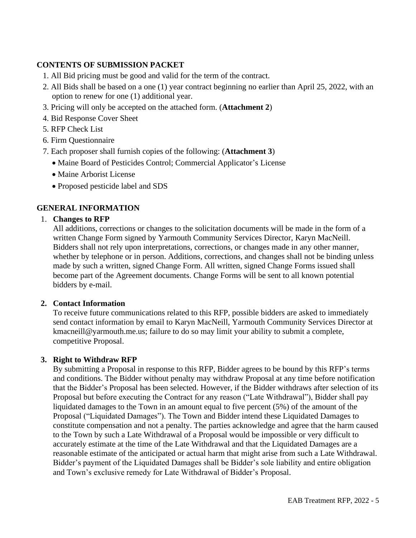## **CONTENTS OF SUBMISSION PACKET**

- 1. All Bid pricing must be good and valid for the term of the contract.
- 2. All Bids shall be based on a one (1) year contract beginning no earlier than April 25, 2022, with an option to renew for one (1) additional year.
- 3. Pricing will only be accepted on the attached form. (**Attachment 2**)
- 4. Bid Response Cover Sheet
- 5. RFP Check List
- 6. Firm Questionnaire
- 7. Each proposer shall furnish copies of the following: (**Attachment 3**)
	- Maine Board of Pesticides Control; Commercial Applicator's License
	- Maine Arborist License
	- Proposed pesticide label and SDS

## **GENERAL INFORMATION**

### 1. **Changes to RFP**

All additions, corrections or changes to the solicitation documents will be made in the form of a written Change Form signed by Yarmouth Community Services Director, Karyn MacNeill. Bidders shall not rely upon interpretations, corrections, or changes made in any other manner, whether by telephone or in person. Additions, corrections, and changes shall not be binding unless made by such a written, signed Change Form. All written, signed Change Forms issued shall become part of the Agreement documents. Change Forms will be sent to all known potential bidders by e-mail.

#### **2. Contact Information**

To receive future communications related to this RFP, possible bidders are asked to immediately send contact information by email to Karyn MacNeill, Yarmouth Community Services Director at kmacneill@yarmouth.me.us; failure to do so may limit your ability to submit a complete, competitive Proposal.

### **3. Right to Withdraw RFP**

By submitting a Proposal in response to this RFP, Bidder agrees to be bound by this RFP's terms and conditions. The Bidder without penalty may withdraw Proposal at any time before notification that the Bidder's Proposal has been selected. However, if the Bidder withdraws after selection of its Proposal but before executing the Contract for any reason ("Late Withdrawal"), Bidder shall pay liquidated damages to the Town in an amount equal to five percent (5%) of the amount of the Proposal ("Liquidated Damages"). The Town and Bidder intend these Liquidated Damages to constitute compensation and not a penalty. The parties acknowledge and agree that the harm caused to the Town by such a Late Withdrawal of a Proposal would be impossible or very difficult to accurately estimate at the time of the Late Withdrawal and that the Liquidated Damages are a reasonable estimate of the anticipated or actual harm that might arise from such a Late Withdrawal. Bidder's payment of the Liquidated Damages shall be Bidder's sole liability and entire obligation and Town's exclusive remedy for Late Withdrawal of Bidder's Proposal.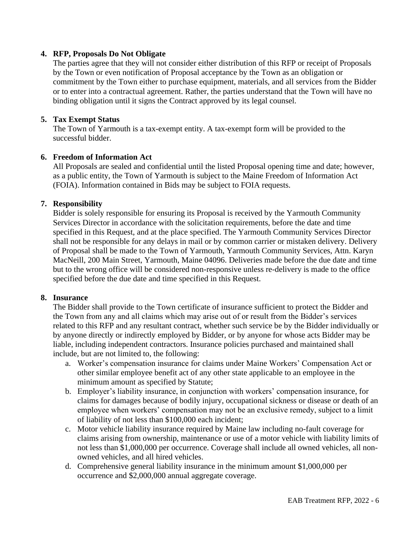#### **4. RFP, Proposals Do Not Obligate**

The parties agree that they will not consider either distribution of this RFP or receipt of Proposals by the Town or even notification of Proposal acceptance by the Town as an obligation or commitment by the Town either to purchase equipment, materials, and all services from the Bidder or to enter into a contractual agreement. Rather, the parties understand that the Town will have no binding obligation until it signs the Contract approved by its legal counsel.

#### **5. Tax Exempt Status**

The Town of Yarmouth is a tax-exempt entity. A tax-exempt form will be provided to the successful bidder.

#### **6. Freedom of Information Act**

All Proposals are sealed and confidential until the listed Proposal opening time and date; however, as a public entity, the Town of Yarmouth is subject to the Maine Freedom of Information Act (FOIA). Information contained in Bids may be subject to FOIA requests.

#### **7. Responsibility**

Bidder is solely responsible for ensuring its Proposal is received by the Yarmouth Community Services Director in accordance with the solicitation requirements, before the date and time specified in this Request, and at the place specified. The Yarmouth Community Services Director shall not be responsible for any delays in mail or by common carrier or mistaken delivery. Delivery of Proposal shall be made to the Town of Yarmouth, Yarmouth Community Services, Attn. Karyn MacNeill, 200 Main Street, Yarmouth, Maine 04096. Deliveries made before the due date and time but to the wrong office will be considered non-responsive unless re-delivery is made to the office specified before the due date and time specified in this Request.

#### **8. Insurance**

The Bidder shall provide to the Town certificate of insurance sufficient to protect the Bidder and the Town from any and all claims which may arise out of or result from the Bidder's services related to this RFP and any resultant contract, whether such service be by the Bidder individually or by anyone directly or indirectly employed by Bidder, or by anyone for whose acts Bidder may be liable, including independent contractors. Insurance policies purchased and maintained shall include, but are not limited to, the following:

- a. Worker's compensation insurance for claims under Maine Workers' Compensation Act or other similar employee benefit act of any other state applicable to an employee in the minimum amount as specified by Statute;
- b. Employer's liability insurance, in conjunction with workers' compensation insurance, for claims for damages because of bodily injury, occupational sickness or disease or death of an employee when workers' compensation may not be an exclusive remedy, subject to a limit of liability of not less than \$100,000 each incident;
- c. Motor vehicle liability insurance required by Maine law including no-fault coverage for claims arising from ownership, maintenance or use of a motor vehicle with liability limits of not less than \$1,000,000 per occurrence. Coverage shall include all owned vehicles, all nonowned vehicles, and all hired vehicles.
- d. Comprehensive general liability insurance in the minimum amount \$1,000,000 per occurrence and \$2,000,000 annual aggregate coverage.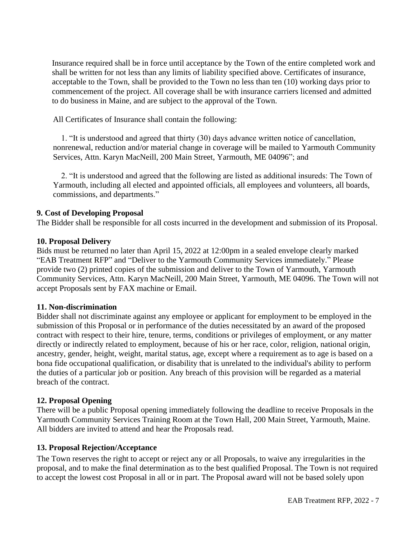Insurance required shall be in force until acceptance by the Town of the entire completed work and shall be written for not less than any limits of liability specified above. Certificates of insurance, acceptable to the Town, shall be provided to the Town no less than ten (10) working days prior to commencement of the project. All coverage shall be with insurance carriers licensed and admitted to do business in Maine, and are subject to the approval of the Town.

All Certificates of Insurance shall contain the following:

1. "It is understood and agreed that thirty (30) days advance written notice of cancellation, nonrenewal, reduction and/or material change in coverage will be mailed to Yarmouth Community Services, Attn. Karyn MacNeill, 200 Main Street, Yarmouth, ME 04096"; and

2. "It is understood and agreed that the following are listed as additional insureds: The Town of Yarmouth, including all elected and appointed officials, all employees and volunteers, all boards, commissions, and departments."

#### **9. Cost of Developing Proposal**

The Bidder shall be responsible for all costs incurred in the development and submission of its Proposal.

#### **10. Proposal Delivery**

Bids must be returned no later than April 15, 2022 at 12:00pm in a sealed envelope clearly marked "EAB Treatment RFP" and "Deliver to the Yarmouth Community Services immediately." Please provide two (2) printed copies of the submission and deliver to the Town of Yarmouth, Yarmouth Community Services, Attn. Karyn MacNeill, 200 Main Street, Yarmouth, ME 04096. The Town will not accept Proposals sent by FAX machine or Email.

#### **11. Non-discrimination**

Bidder shall not discriminate against any employee or applicant for employment to be employed in the submission of this Proposal or in performance of the duties necessitated by an award of the proposed contract with respect to their hire, tenure, terms, conditions or privileges of employment, or any matter directly or indirectly related to employment, because of his or her race, color, religion, national origin, ancestry, gender, height, weight, marital status, age, except where a requirement as to age is based on a bona fide occupational qualification, or disability that is unrelated to the individual's ability to perform the duties of a particular job or position. Any breach of this provision will be regarded as a material breach of the contract.

#### **12. Proposal Opening**

There will be a public Proposal opening immediately following the deadline to receive Proposals in the Yarmouth Community Services Training Room at the Town Hall, 200 Main Street, Yarmouth, Maine. All bidders are invited to attend and hear the Proposals read.

#### **13. Proposal Rejection/Acceptance**

The Town reserves the right to accept or reject any or all Proposals, to waive any irregularities in the proposal, and to make the final determination as to the best qualified Proposal. The Town is not required to accept the lowest cost Proposal in all or in part. The Proposal award will not be based solely upon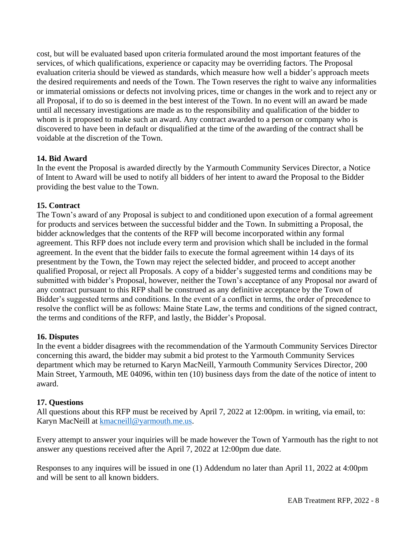cost, but will be evaluated based upon criteria formulated around the most important features of the services, of which qualifications, experience or capacity may be overriding factors. The Proposal evaluation criteria should be viewed as standards, which measure how well a bidder's approach meets the desired requirements and needs of the Town. The Town reserves the right to waive any informalities or immaterial omissions or defects not involving prices, time or changes in the work and to reject any or all Proposal, if to do so is deemed in the best interest of the Town. In no event will an award be made until all necessary investigations are made as to the responsibility and qualification of the bidder to whom is it proposed to make such an award. Any contract awarded to a person or company who is discovered to have been in default or disqualified at the time of the awarding of the contract shall be voidable at the discretion of the Town.

#### **14. Bid Award**

In the event the Proposal is awarded directly by the Yarmouth Community Services Director, a Notice of Intent to Award will be used to notify all bidders of her intent to award the Proposal to the Bidder providing the best value to the Town.

#### **15. Contract**

The Town's award of any Proposal is subject to and conditioned upon execution of a formal agreement for products and services between the successful bidder and the Town. In submitting a Proposal, the bidder acknowledges that the contents of the RFP will become incorporated within any formal agreement. This RFP does not include every term and provision which shall be included in the formal agreement. In the event that the bidder fails to execute the formal agreement within 14 days of its presentment by the Town, the Town may reject the selected bidder, and proceed to accept another qualified Proposal, or reject all Proposals. A copy of a bidder's suggested terms and conditions may be submitted with bidder's Proposal, however, neither the Town's acceptance of any Proposal nor award of any contract pursuant to this RFP shall be construed as any definitive acceptance by the Town of Bidder's suggested terms and conditions. In the event of a conflict in terms, the order of precedence to resolve the conflict will be as follows: Maine State Law, the terms and conditions of the signed contract, the terms and conditions of the RFP, and lastly, the Bidder's Proposal.

#### **16. Disputes**

In the event a bidder disagrees with the recommendation of the Yarmouth Community Services Director concerning this award, the bidder may submit a bid protest to the Yarmouth Community Services department which may be returned to Karyn MacNeill, Yarmouth Community Services Director, 200 Main Street, Yarmouth, ME 04096, within ten (10) business days from the date of the notice of intent to award.

#### **17. Questions**

All questions about this RFP must be received by April 7, 2022 at 12:00pm. in writing, via email, to: Karyn MacNeill at [kmacneill@yarmouth.me.us.](mailto:kmacneill@yarmouth.me.us)

Every attempt to answer your inquiries will be made however the Town of Yarmouth has the right to not answer any questions received after the April 7, 2022 at 12:00pm due date.

Responses to any inquires will be issued in one (1) Addendum no later than April 11, 2022 at 4:00pm and will be sent to all known bidders.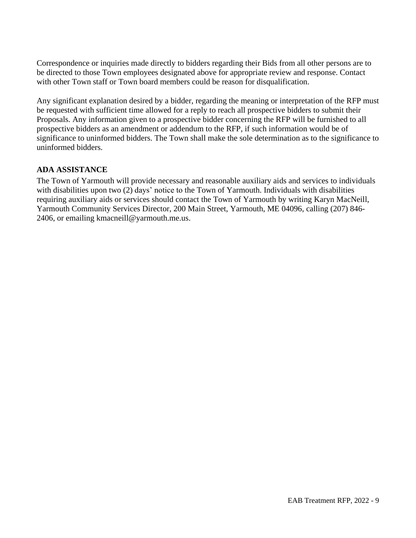Correspondence or inquiries made directly to bidders regarding their Bids from all other persons are to be directed to those Town employees designated above for appropriate review and response. Contact with other Town staff or Town board members could be reason for disqualification.

Any significant explanation desired by a bidder, regarding the meaning or interpretation of the RFP must be requested with sufficient time allowed for a reply to reach all prospective bidders to submit their Proposals. Any information given to a prospective bidder concerning the RFP will be furnished to all prospective bidders as an amendment or addendum to the RFP, if such information would be of significance to uninformed bidders. The Town shall make the sole determination as to the significance to uninformed bidders.

#### **ADA ASSISTANCE**

The Town of Yarmouth will provide necessary and reasonable auxiliary aids and services to individuals with disabilities upon two (2) days' notice to the Town of Yarmouth. Individuals with disabilities requiring auxiliary aids or services should contact the Town of Yarmouth by writing Karyn MacNeill, Yarmouth Community Services Director, 200 Main Street, Yarmouth, ME 04096, calling (207) 846- 2406, or emailing kmacneill@yarmouth.me.us.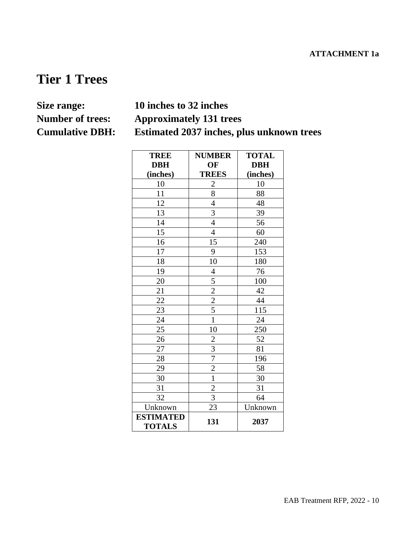# **Tier 1 Trees**

# **Size range: 10 inches to 32 inches Number of trees: Approximately 131 trees Cumulative DBH: Estimated 2037 inches, plus unknown trees**

| <b>TREE</b>                       | <b>NUMBER</b>                             | <b>TOTAL</b> |
|-----------------------------------|-------------------------------------------|--------------|
| <b>DBH</b>                        | OF                                        | <b>DBH</b>   |
| (inches)                          | <b>TREES</b>                              | (inches)     |
| 10                                | $\overline{2}$                            | 10           |
| 11                                | $\overline{8}$                            | 88           |
| 12                                | $\overline{4}$                            | 48           |
| 13                                | $\frac{3}{4}$                             | 39           |
| 14                                |                                           | 56           |
| $\overline{15}$                   | $\overline{4}$                            | 60           |
| 16                                | 15                                        | 240          |
| 17                                | 9                                         | 153          |
| 18                                | 10                                        | 180          |
| 19                                | $\overline{\mathcal{L}}$                  | 76           |
| 20                                |                                           | 100          |
| 21                                | $\frac{5}{2}$ $\frac{2}{5}$ $\frac{5}{1}$ | 42           |
| 22                                |                                           | 44           |
| $2\overline{3}$                   |                                           | 115          |
| $\overline{24}$                   |                                           | 24           |
| 25                                | 10                                        | 250          |
| 26                                |                                           | 52           |
| 27                                | $\frac{2}{3}$ $\frac{7}{2}$               | 81           |
| 28                                |                                           | 196          |
| 29                                |                                           | 58           |
| 30                                | $\overline{1}$                            | 30           |
| 31                                | $\overline{2}$                            | 31           |
| 32                                | $\overline{3}$                            | 64           |
| Unknown                           | 23                                        | Unknown      |
| <b>ESTIMATED</b><br><b>TOTALS</b> | 131                                       | 2037         |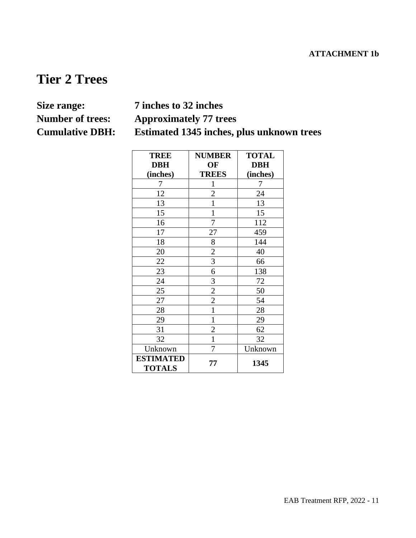# **Tier 2 Trees**

# **Size range: 7 inches to 32 inches Number of trees: Approximately 77 trees Cumulative DBH: Estimated 1345 inches, plus unknown trees**

| <b>TREE</b>                       | <b>NUMBER</b>  | <b>TOTAL</b> |
|-----------------------------------|----------------|--------------|
| <b>DBH</b>                        | OF             | <b>DBH</b>   |
| (inches)                          | <b>TREES</b>   | (inches)     |
| 7                                 | $\mathbf{1}$   | 7            |
| 12                                | $\overline{c}$ | 24           |
| 13                                | $\mathbf{1}$   | 13           |
| 15                                | $\mathbf{1}$   | 15           |
| 16                                | 7              | 112          |
| 17                                | 27             | 459          |
| 18                                | 8              | 144          |
| 20                                |                | 40           |
| 22                                | $rac{2}{3}$    | 66           |
| 23                                | 6              | 138          |
| 24                                | 3              | 72           |
| 25                                | $\frac{2}{2}$  | 50           |
| 27                                |                | 54           |
| 28                                | $\mathbf{1}$   | 28           |
| 29                                | $\mathbf{1}$   | 29           |
| 31                                | $\overline{2}$ | 62           |
| 32                                | $\mathbf{1}$   | 32           |
| Unknown                           | 7              | Unknown      |
| <b>ESTIMATED</b><br><b>TOTALS</b> | 77             | 1345         |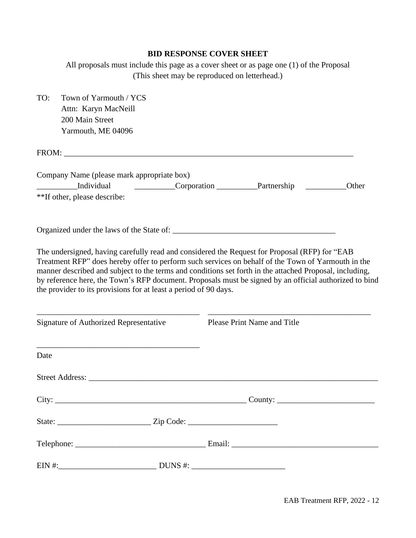# **BID RESPONSE COVER SHEET**

All proposals must include this page as a cover sheet or as page one (1) of the Proposal (This sheet may be reproduced on letterhead.)

| TO:  | Town of Yarmouth / YCS<br>Attn: Karyn MacNeill                                                                                                                                                                                                                                                                                                                                                                                                                                               |                             |       |
|------|----------------------------------------------------------------------------------------------------------------------------------------------------------------------------------------------------------------------------------------------------------------------------------------------------------------------------------------------------------------------------------------------------------------------------------------------------------------------------------------------|-----------------------------|-------|
|      | 200 Main Street                                                                                                                                                                                                                                                                                                                                                                                                                                                                              |                             |       |
|      | Yarmouth, ME 04096                                                                                                                                                                                                                                                                                                                                                                                                                                                                           |                             |       |
|      | FROM: The contract of the contract of the contract of the contract of the contract of the contract of the contract of the contract of the contract of the contract of the contract of the contract of the contract of the cont                                                                                                                                                                                                                                                               |                             |       |
|      | Company Name (please mark appropriate box)                                                                                                                                                                                                                                                                                                                                                                                                                                                   |                             |       |
|      | Individual                                                                                                                                                                                                                                                                                                                                                                                                                                                                                   | Corporation Partnership     | Other |
|      | **If other, please describe:                                                                                                                                                                                                                                                                                                                                                                                                                                                                 |                             |       |
|      |                                                                                                                                                                                                                                                                                                                                                                                                                                                                                              |                             |       |
|      | The undersigned, having carefully read and considered the Request for Proposal (RFP) for "EAB<br>Treatment RFP" does hereby offer to perform such services on behalf of the Town of Yarmouth in the<br>manner described and subject to the terms and conditions set forth in the attached Proposal, including,<br>by reference here, the Town's RFP document. Proposals must be signed by an official authorized to bind<br>the provider to its provisions for at least a period of 90 days. |                             |       |
|      | Signature of Authorized Representative                                                                                                                                                                                                                                                                                                                                                                                                                                                       | Please Print Name and Title |       |
| Date |                                                                                                                                                                                                                                                                                                                                                                                                                                                                                              |                             |       |
|      | Street Address: No. 2016. The Street Address:                                                                                                                                                                                                                                                                                                                                                                                                                                                |                             |       |
|      | City: $\_\_\_\_\_\_$                                                                                                                                                                                                                                                                                                                                                                                                                                                                         |                             |       |
|      |                                                                                                                                                                                                                                                                                                                                                                                                                                                                                              |                             |       |
|      |                                                                                                                                                                                                                                                                                                                                                                                                                                                                                              |                             |       |
|      |                                                                                                                                                                                                                                                                                                                                                                                                                                                                                              |                             |       |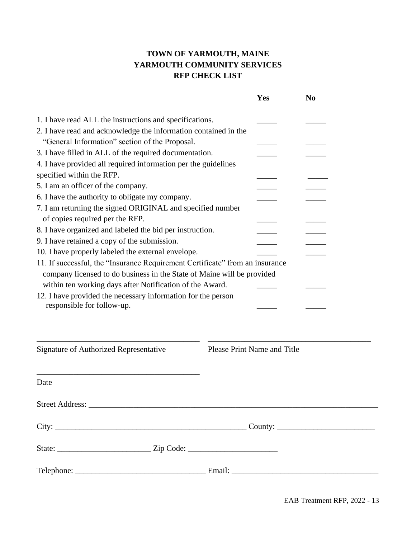# **TOWN OF YARMOUTH, MAINE YARMOUTH COMMUNITY SERVICES RFP CHECK LIST**

|                                                                                                                                                                                                                                                                                                                                                                                                                                                                                                                                                                                                                                                                                                                                                                                                                                                                                                                                                                                                                       | Yes                                | N <sub>0</sub> |
|-----------------------------------------------------------------------------------------------------------------------------------------------------------------------------------------------------------------------------------------------------------------------------------------------------------------------------------------------------------------------------------------------------------------------------------------------------------------------------------------------------------------------------------------------------------------------------------------------------------------------------------------------------------------------------------------------------------------------------------------------------------------------------------------------------------------------------------------------------------------------------------------------------------------------------------------------------------------------------------------------------------------------|------------------------------------|----------------|
| 1. I have read ALL the instructions and specifications.<br>2. I have read and acknowledge the information contained in the<br>"General Information" section of the Proposal.<br>3. I have filled in ALL of the required documentation.<br>4. I have provided all required information per the guidelines<br>specified within the RFP.<br>5. I am an officer of the company.<br>6. I have the authority to obligate my company.<br>7. I am returning the signed ORIGINAL and specified number<br>of copies required per the RFP.<br>8. I have organized and labeled the bid per instruction.<br>9. I have retained a copy of the submission.<br>10. I have properly labeled the external envelope.<br>11. If successful, the "Insurance Requirement Certificate" from an insurance<br>company licensed to do business in the State of Maine will be provided<br>within ten working days after Notification of the Award.<br>12. I have provided the necessary information for the person<br>responsible for follow-up. |                                    |                |
| Signature of Authorized Representative                                                                                                                                                                                                                                                                                                                                                                                                                                                                                                                                                                                                                                                                                                                                                                                                                                                                                                                                                                                | <b>Please Print Name and Title</b> |                |
| Date                                                                                                                                                                                                                                                                                                                                                                                                                                                                                                                                                                                                                                                                                                                                                                                                                                                                                                                                                                                                                  |                                    |                |
|                                                                                                                                                                                                                                                                                                                                                                                                                                                                                                                                                                                                                                                                                                                                                                                                                                                                                                                                                                                                                       |                                    |                |
|                                                                                                                                                                                                                                                                                                                                                                                                                                                                                                                                                                                                                                                                                                                                                                                                                                                                                                                                                                                                                       |                                    |                |
|                                                                                                                                                                                                                                                                                                                                                                                                                                                                                                                                                                                                                                                                                                                                                                                                                                                                                                                                                                                                                       |                                    |                |
|                                                                                                                                                                                                                                                                                                                                                                                                                                                                                                                                                                                                                                                                                                                                                                                                                                                                                                                                                                                                                       |                                    |                |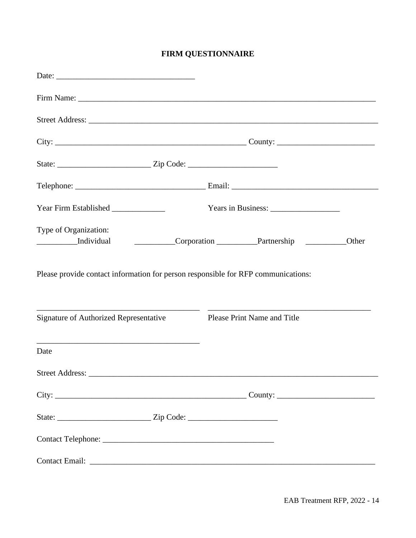# **FIRM QUESTIONNAIRE**

| City: $\_\_\_\_\_\_$ City: $\_\_\_\_\_\_$                                         |                             |       |
|-----------------------------------------------------------------------------------|-----------------------------|-------|
|                                                                                   |                             |       |
|                                                                                   |                             |       |
|                                                                                   |                             |       |
| Type of Organization:<br>_____________Individual                                  | Corporation Partnership     | Other |
| Please provide contact information for person responsible for RFP communications: |                             |       |
| <b>Signature of Authorized Representative</b>                                     | Please Print Name and Title |       |
| Date                                                                              |                             |       |
|                                                                                   |                             |       |
|                                                                                   |                             |       |
|                                                                                   |                             |       |
|                                                                                   |                             |       |
|                                                                                   |                             |       |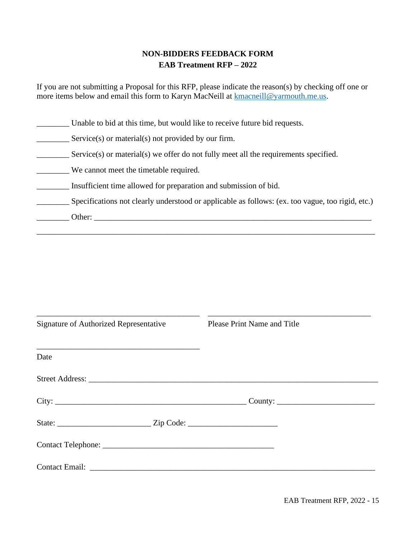# **NON-BIDDERS FEEDBACK FORM EAB Treatment RFP – 2022**

If you are not submitting a Proposal for this RFP, please indicate the reason(s) by checking off one or more items below and email this form to Karyn MacNeill at [kmacneill@yarmouth.me.us.](mailto:kmacneill@yarmouth.me.us)

\_\_\_\_\_\_\_\_ Unable to bid at this time, but would like to receive future bid requests.

Service(s) or material(s) not provided by our firm.

Service(s) or material(s) we offer do not fully meet all the requirements specified.

\_\_\_\_\_\_\_\_ We cannot meet the timetable required.

\_\_\_\_\_\_\_\_ Insufficient time allowed for preparation and submission of bid.

\_\_\_\_\_\_\_\_ Specifications not clearly understood or applicable as follows: (ex. too vague, too rigid, etc.)

\_\_\_\_\_\_\_\_\_\_\_\_\_\_\_\_\_\_\_\_\_\_\_\_\_\_\_\_\_\_\_\_\_\_\_\_\_\_\_\_\_\_\_\_\_\_\_\_\_\_\_\_\_\_\_\_\_\_\_\_\_\_\_\_\_\_\_\_\_\_\_\_\_\_\_\_\_\_\_\_\_\_\_

\_\_\_\_\_\_\_\_ Other: \_\_\_\_\_\_\_\_\_\_\_\_\_\_\_\_\_\_\_\_\_\_\_\_\_\_\_\_\_\_\_\_\_\_\_\_\_\_\_\_\_\_\_\_\_\_\_\_\_\_\_\_\_\_\_\_\_\_\_\_\_\_\_\_\_\_\_\_

| Signature of Authorized Representative          | Please Print Name and Title |
|-------------------------------------------------|-----------------------------|
| Date                                            |                             |
|                                                 |                             |
|                                                 | $\text{Country:}$           |
|                                                 |                             |
|                                                 |                             |
| Contact Email: University of the Contact Email: |                             |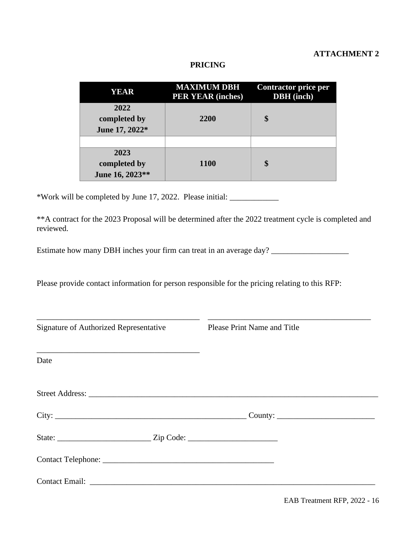# **ATTACHMENT 2**

#### **PRICING**

| YEAR                                    | <b>MAXIMUM DBH</b><br><b>PER YEAR (inches)</b> | Contractor price per<br><b>DBH</b> (inch) |
|-----------------------------------------|------------------------------------------------|-------------------------------------------|
| 2022<br>completed by<br>June 17, 2022*  | 2200                                           | \$                                        |
|                                         |                                                |                                           |
| 2023<br>completed by<br>June 16, 2023** | <b>1100</b>                                    | \$                                        |

\*Work will be completed by June 17, 2022. Please initial: \_\_\_\_\_\_\_\_\_\_\_\_

\*\*A contract for the 2023 Proposal will be determined after the 2022 treatment cycle is completed and reviewed.

Estimate how many DBH inches your firm can treat in an average day? \_\_\_\_\_\_\_\_\_\_\_\_\_

Please provide contact information for person responsible for the pricing relating to this RFP:

| Signature of Authorized Representative        | Please Print Name and Title |
|-----------------------------------------------|-----------------------------|
| Date                                          |                             |
| Street Address: No. 2016. The Street Address: |                             |
|                                               | $\text{Country:}$           |
|                                               |                             |
|                                               |                             |
|                                               |                             |